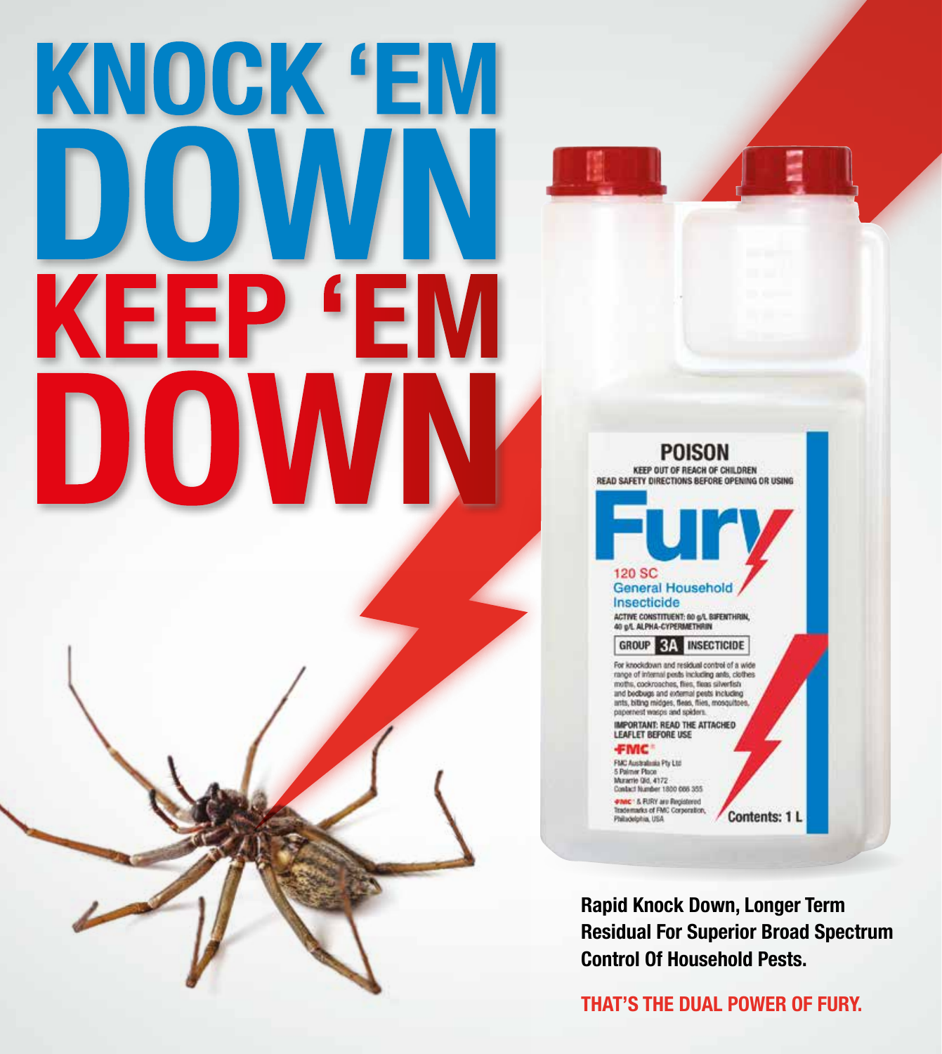# KNOCK 'EM KEEP '



**Rapid Knock Down, Longer Term Residual For Superior Broad Spectrum Control Of Household Pests.** 

**THAT'S THE DUAL POWER OF FURY.**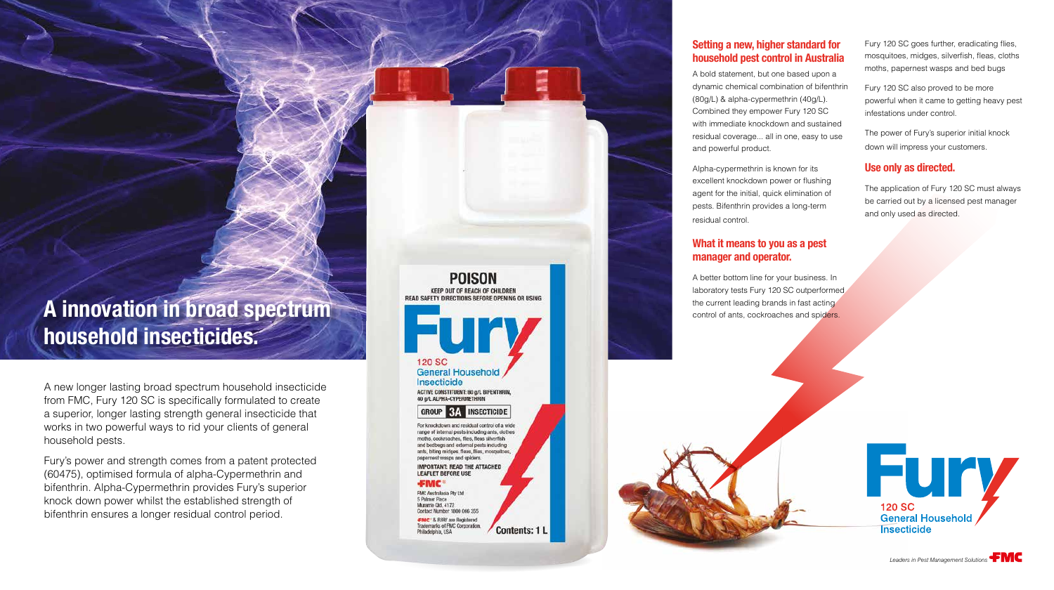A new longer lasting broad spectrum household insecticide from FMC, Fury 120 SC is specifically formulated to create a superior, longer lasting strength general insecticide that works in two powerful ways to rid your clients of general household pests.

Fury's power and strength comes from a patent protected (60475), optimised formula of alpha-Cypermethrin and bifenthrin. Alpha-Cypermethrin provides Fury's superior knock down power whilst the established strength of bifenthrin ensures a longer residual control period.

**POISON KEEP OUT OF REACH OF CHILDREN** READ SAFETY DIRECTIONS REFORE OPENING OR USING

**120 SC General Household** Insecticide **ACTIVE CONSTITUENT: 80 g/L BIFENTHRIN** 40 g/L ALPHA-CYPERMETHRIN

### **INSECTICIDE GROUP**

For knockdown and residual control of a wide range of internal pests including ants, clothes moths, cockroaches, flies, fleas silverfish and berthugs and external nests including ants, biting midges, fleas, flies, mosquitoe apernest wasps and spiders **IMPORTANT: READ THE ATTACHED** 

**LEAFLET BEFORE USE** 

**FMC** 

FMC Australasia Pty Ltd. 5 Palmer Place Murarrie QM, 4172 Contact Number 1800 066 355 FMC' & FURY are Registered

Trademarks of FMC Corporation. **Contents: 1 L** Philadelphia, USA

# **A innovation in broad spectrum household insecticides.**

# **Setting a new, higher standard for household pest control in Australia**

A bold statement, but one based upon a dynamic chemical combination of bifenthrin (80g/L) & alpha-cypermethrin (40g/L). Combined they empower Fury 120 SC with immediate knockdown and sustained residual coverage... all in one, easy to use and powerful product.

Alpha-cypermethrin is known for its excellent knockdown power or flushing agent for the initial, quick elimination of pests. Bifenthrin provides a long-term residual control.

### **What it means to you as a pest manager and operator.**

A better bottom line for your business. In laboratory tests Fury 120 SC outperformed the current leading brands in fast acting control of ants, cockroaches and spiders.



Fury 120 SC goes further, eradicating flies, mosquitoes, midges, silverfish, fleas, cloths moths, papernest wasps and bed bugs

Fury 120 SC also proved to be more powerful when it came to getting heavy pest infestations under control.

The power of Fury's superior initial knock down will impress your customers.

## **Use only as directed.**

The application of Fury 120 SC must always be carried out by a licensed pest manager and only used as directed.



*Leaders in Pest Management Solutions*